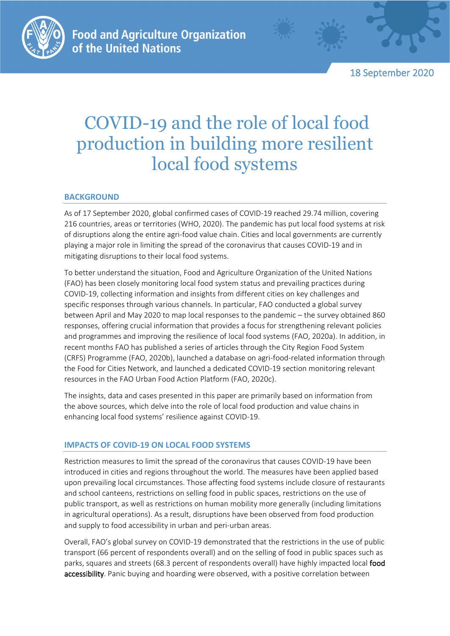

18 September 2020

# COVID-19 and the role of local food production in building more resilient local food systems

## **BACKGROUND**

As of 17 September 2020, global confirmed cases of COVID-19 reached 29.74 million, covering 216 countries, areas or territories (WHO, 2020). The pandemic has put local food systems at risk of disruptions along the entire agri-food value chain. Cities and local governments are currently playing a major role in limiting the spread of the coronavirus that causes COVID-19 and in mitigating disruptions to their local food systems.

To better understand the situation, Food and Agriculture Organization of the United Nations (FAO) has been closely monitoring local food system status and prevailing practices during COVID-19, collecting information and insights from different cities on key challenges and specific responses through various channels. In particular, FAO conducted a global survey between April and May 2020 to map local responses to the pandemic – the survey obtained 860 responses, offering crucial information that provides a focus for strengthening relevant policies and programmes and improving the resilience of local food systems (FAO, 2020a). In addition, in recent months FAO has published a series of articles through the City Region Food System (CRFS) Programme (FAO, 2020b), launched a database on agri-food-related information through the Food for Cities Network, and launched a dedicated COVID-19 section monitoring relevant resources in the FAO Urban Food Action Platform (FAO, 2020c).

The insights, data and cases presented in this paper are primarily based on information from the above sources, which delve into the role of local food production and value chains in enhancing local food systems' resilience against COVID-19.

# **IMPACTS OF COVID-19 ON LOCAL FOOD SYSTEMS**

Restriction measures to limit the spread of the coronavirus that causes COVID-19 have been introduced in cities and regions throughout the world. The measures have been applied based upon prevailing local circumstances. Those affecting food systems include closure of restaurants and school canteens, restrictions on selling food in public spaces, restrictions on the use of public transport, as well as restrictions on human mobility more generally (including limitations in agricultural operations). As a result, disruptions have been observed from food production and supply to food accessibility in urban and peri-urban areas.

Overall, FAO's global survey on COVID-19 demonstrated that the restrictions in the use of public transport (66 percent of respondents overall) and on the selling of food in public spaces such as parks, squares and streets (68.3 percent of respondents overall) have highly impacted local food accessibility. Panic buying and hoarding were observed, with a positive correlation between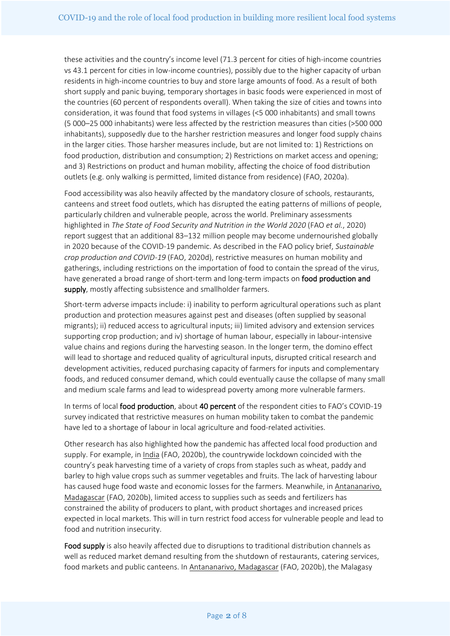these activities and the country's income level (71.3 percent for cities of high-income countries vs 43.1 percent for cities in low-income countries), possibly due to the higher capacity of urban residents in high-income countries to buy and store large amounts of food. As a result of both short supply and panic buying, temporary shortages in basic foods were experienced in most of the countries (60 percent of respondents overall). When taking the size of cities and towns into consideration, it was found that food systems in villages (<5 000 inhabitants) and small towns (5 000–25 000 inhabitants) were less affected by the restriction measures than cities (>500 000 inhabitants), supposedly due to the harsher restriction measures and longer food supply chains in the larger cities. Those harsher measures include, but are not limited to: 1) Restrictions on food production, distribution and consumption; 2) Restrictions on market access and opening; and 3) Restrictions on product and human mobility, affecting the choice of food distribution outlets (e.g. only walking is permitted, limited distance from residence) (FAO, 2020a).

Food accessibility was also heavily affected by the mandatory closure of schools, restaurants, canteens and street food outlets, which has disrupted the eating patterns of millions of people, particularly children and vulnerable people, across the world. Preliminary assessments highlighted in *The State of Food Security and Nutrition in the World 2020* (FAO *et al.*, 2020) report suggest that an additional 83–132 million people may become undernourished globally in 2020 because of the COVID-19 pandemic. As described in the FAO policy brief, *Sustainable crop production and COVID-19* (FAO, 2020d), restrictive measures on human mobility and gatherings, including restrictions on the importation of food to contain the spread of the virus, have generated a broad range of short-term and long-term impacts on food production and supply, mostly affecting subsistence and smallholder farmers.

Short-term adverse impacts include: i) inability to perform agricultural operations such as plant production and protection measures against pest and diseases (often supplied by seasonal migrants); ii) reduced access to agricultural inputs; iii) limited advisory and extension services supporting crop production; and iv) shortage of human labour, especially in labour-intensive value chains and regions during the harvesting season. In the longer term, the domino effect will lead to shortage and reduced quality of agricultural inputs, disrupted critical research and development activities, reduced purchasing capacity of farmers for inputs and complementary foods, and reduced consumer demand, which could eventually cause the collapse of many small and medium scale farms and lead to widespread poverty among more vulnerable farmers.

In terms of local food production, about 40 percent of the respondent cities to FAO's COVID-19 survey indicated that restrictive measures on human mobility taken to combat the pandemic have led to a shortage of labour in local agriculture and food-related activities.

Other research has also highlighted how the pandemic has affected local food production and supply. For example, in India (FAO, 2020b), the countrywide lockdown coincided with the country's peak harvesting time of a variety of crops from staples such as wheat, paddy and barley to high value crops such as summer vegetables and fruits. The lack of harvesting labour has caused huge food waste and economic losses for the farmers. Meanwhile, in Antananarivo, Madagascar (FAO, 2020b), limited access to supplies such as seeds and fertilizers has constrained the ability of producers to plant, with product shortages and increased prices expected in local markets. This will in turn restrict food access for vulnerable people and lead to food and nutrition insecurity.

Food supply is also heavily affected due to disruptions to traditional distribution channels as well as reduced market demand resulting from the shutdown of restaurants, catering services, food markets and public canteens. In Antananarivo, Madagascar (FAO, 2020b), the Malagasy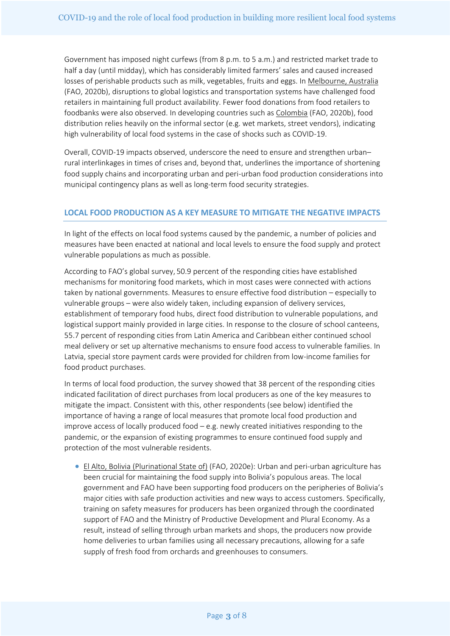Government has imposed night curfews (from 8 p.m. to 5 a.m.) and restricted market trade to half a day (until midday), which has considerably limited farmers' sales and caused increased losses of perishable products such as milk, vegetables, fruits and eggs. In Melbourne, Australia (FAO, 2020b), disruptions to global logistics and transportation systems have challenged food retailers in maintaining full product availability. Fewer food donations from food retailers to foodbanks were also observed. In developing countries such as Colombia (FAO, 2020b), food distribution relies heavily on the informal sector (e.g. wet markets, street vendors), indicating high vulnerability of local food systems in the case of shocks such as COVID-19.

Overall, COVID-19 impacts observed, underscore the need to ensure and strengthen urban– rural interlinkages in times of crises and, beyond that, underlines the importance of shortening food supply chains and incorporating urban and peri-urban food production considerations into municipal contingency plans as well as long-term food security strategies.

### **LOCAL FOOD PRODUCTION AS A KEY MEASURE TO MITIGATE THE NEGATIVE IMPACTS**

In light of the effects on local food systems caused by the pandemic, a number of policies and measures have been enacted at national and local levels to ensure the food supply and protect vulnerable populations as much as possible.

According to FAO's global survey, 50.9 percent of the responding cities have established mechanisms for monitoring food markets, which in most cases were connected with actions taken by national governments. Measures to ensure effective food distribution – especially to vulnerable groups – were also widely taken, including expansion of delivery services, establishment of temporary food hubs, direct food distribution to vulnerable populations, and logistical support mainly provided in large cities. In response to the closure of school canteens, 55.7 percent of responding cities from Latin America and Caribbean either continued school meal delivery or set up alternative mechanisms to ensure food access to vulnerable families. In Latvia, special store payment cards were provided for children from low-income families for food product purchases.

In terms of local food production, the survey showed that 38 percent of the responding cities indicated facilitation of direct purchases from local producers as one of the key measures to mitigate the impact. Consistent with this, other respondents (see below) identified the importance of having a range of local measures that promote local food production and improve access of locally produced food  $-e.g.$  newly created initiatives responding to the pandemic, or the expansion of existing programmes to ensure continued food supply and protection of the most vulnerable residents.

• El Alto, Bolivia (Plurinational State of) (FAO, 2020e): Urban and peri-urban agriculture has been crucial for maintaining the food supply into Bolivia's populous areas. The local government and FAO have been supporting food producers on the peripheries of Bolivia's major cities with safe production activities and new ways to access customers. Specifically, training on safety measures for producers has been organized through the coordinated support of FAO and the Ministry of Productive Development and Plural Economy. As a result, instead of selling through urban markets and shops, the producers now provide home deliveries to urban families using all necessary precautions, allowing for a safe supply of fresh food from orchards and greenhouses to consumers.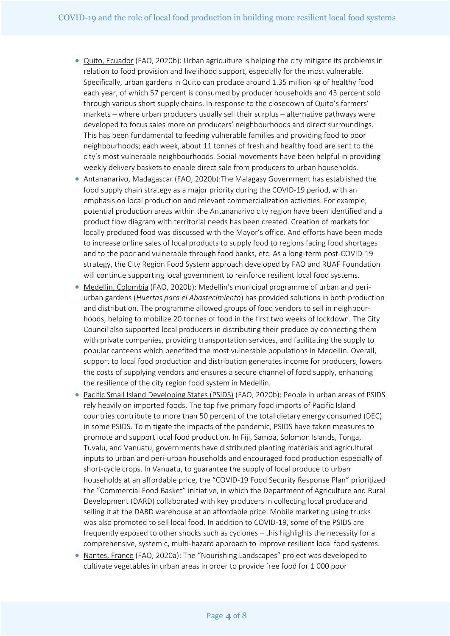- Quito, Ecuador (FAO, 2020b): Urban agriculture is helping the city mitigate its problems in relation to food provision and livelihood support, especially for the most vulnerable. Specifically, urban gardens in Quito can produce around 1.35 million kg of healthy food each year, of which 57 percent is consumed by producer households and 43 percent sold through various short supply chains. In response to the closedown of Quito's farmers' markets – where urban producers usually sell their surplus – alternative pathways were developed to focus sales more on producers' neighbourhoods and direct surroundings. This has been fundamental to feeding vulnerable families and providing food to poor neighbourhoods; each week, about 11 tonnes of fresh and healthy food are sent to the city's most vulnerable neighbourhoods. Social movements have been helpful in providing weekly delivery baskets to enable direct sale from producers to urban households.
- Antananarivo, Madagascar (FAO, 2020b):The Malagasy Government has established the food supply chain strategy as a major priority during the COVID-19 period, with an emphasis on local production and relevant commercialization activities. For example, potential production areas within the Antananarivo city region have been identified and a product flow diagram with territorial needs has been created. Creation of markets for locally produced food was discussed with the Mayor's office. And efforts have been made to increase online sales of local products to supply food to regions facing food shortages and to the poor and vulnerable through food banks, etc. As a long-term post-COVID-19 strategy, the City Region Food System approach developed by FAO and RUAF Foundation will continue supporting local government to reinforce resilient local food systems.
- Medellin, Colombia (FAO, 2020b): Medellin's municipal programme of urban and periurban gardens (*Huertas para el Abastecimiento*) has provided solutions in both production and distribution. The programme allowed groups of food vendors to sell in neighbourhoods, helping to mobilize 20 tonnes of food in the first two weeks of lockdown. The City Council also supported local producers in distributing their produce by connecting them with private companies, providing transportation services, and facilitating the supply to popular canteens which benefited the most vulnerable populations in Medellin. Overall, support to local food production and distribution generates income for producers, lowers the costs of supplying vendors and ensures a secure channel of food supply, enhancing the resilience of the city region food system in Medellin.
- Pacific Small Island Developing States (PSIDS) (FAO, 2020b): People in urban areas of PSIDS rely heavily on imported foods. The top five primary food imports of Pacific Island countries contribute to more than 50 percent of the total dietary energy consumed (DEC) in some PSIDS. To mitigate the impacts of the pandemic, PSIDS have taken measures to promote and support local food production. In Fiji, Samoa, Solomon Islands, Tonga, Tuvalu, and Vanuatu, governments have distributed planting materials and agricultural inputs to urban and peri-urban households and encouraged food production especially of short-cycle crops. In Vanuatu, to guarantee the supply of local produce to urban households at an affordable price, the "COVID-19 Food Security Response Plan" prioritized the "Commercial Food Basket" initiative, in which the Department of Agriculture and Rural Development (DARD) collaborated with key producers in collecting local produce and selling it at the DARD warehouse at an affordable price. Mobile marketing using trucks was also promoted to sell local food. In addition to COVID-19, some of the PSIDS are frequently exposed to other shocks such as cyclones – this highlights the necessity for a comprehensive, systemic, multi-hazard approach to improve resilient local food systems.
- Nantes, France (FAO, 2020a): The "Nourishing Landscapes" project was developed to cultivate vegetables in urban areas in order to provide free food for 1 000 poor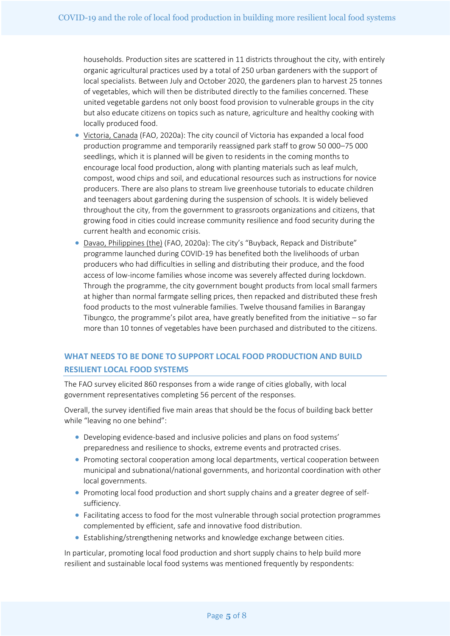households. Production sites are scattered in 11 districts throughout the city, with entirely organic agricultural practices used by a total of 250 urban gardeners with the support of local specialists. Between July and October 2020, the gardeners plan to harvest 25 tonnes of vegetables, which will then be distributed directly to the families concerned. These united vegetable gardens not only boost food provision to vulnerable groups in the city but also educate citizens on topics such as nature, agriculture and healthy cooking with locally produced food.

- Victoria, Canada (FAO, 2020a): The city council of Victoria has expanded a local food production programme and temporarily reassigned park staff to grow 50 000–75 000 seedlings, which it is planned will be given to residents in the coming months to encourage local food production, along with planting materials such as leaf mulch, compost, wood chips and soil, and educational resources such as instructions for novice producers. There are also plans to stream live greenhouse tutorials to educate children and teenagers about gardening during the suspension of schools. It is widely believed throughout the city, from the government to grassroots organizations and citizens, that growing food in cities could increase community resilience and food security during the current health and economic crisis.
- Davao, Philippines (the) (FAO, 2020a): The city's "Buyback, Repack and Distribute" programme launched during COVID-19 has benefited both the livelihoods of urban producers who had difficulties in selling and distributing their produce, and the food access of low-income families whose income was severely affected during lockdown. Through the programme, the city government bought products from local small farmers at higher than normal farmgate selling prices, then repacked and distributed these fresh food products to the most vulnerable families. Twelve thousand families in Barangay Tibungco, the programme's pilot area, have greatly benefited from the initiative – so far more than 10 tonnes of vegetables have been purchased and distributed to the citizens.

# **WHAT NEEDS TO BE DONE TO SUPPORT LOCAL FOOD PRODUCTION AND BUILD RESILIENT LOCAL FOOD SYSTEMS**

The FAO survey elicited 860 responses from a wide range of cities globally, with local government representatives completing 56 percent of the responses.

Overall, the survey identified five main areas that should be the focus of building back better while "leaving no one behind":

- Developing evidence-based and inclusive policies and plans on food systems' preparedness and resilience to shocks, extreme events and protracted crises.
- Promoting sectoral cooperation among local departments, vertical cooperation between municipal and subnational/national governments, and horizontal coordination with other local governments.
- Promoting local food production and short supply chains and a greater degree of selfsufficiency.
- Facilitating access to food for the most vulnerable through social protection programmes complemented by efficient, safe and innovative food distribution.
- Establishing/strengthening networks and knowledge exchange between cities.

In particular, promoting local food production and short supply chains to help build more resilient and sustainable local food systems was mentioned frequently by respondents: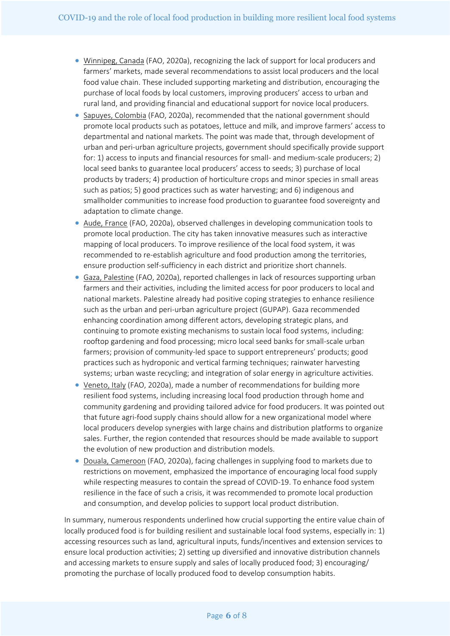- Winnipeg, Canada (FAO, 2020a), recognizing the lack of support for local producers and farmers' markets, made several recommendations to assist local producers and the local food value chain. These included supporting marketing and distribution, encouraging the purchase of local foods by local customers, improving producers' access to urban and rural land, and providing financial and educational support for novice local producers.
- Sapuyes, Colombia (FAO, 2020a), recommended that the national government should promote local products such as potatoes, lettuce and milk, and improve farmers' access to departmental and national markets. The point was made that, through development of urban and peri-urban agriculture projects, government should specifically provide support for: 1) access to inputs and financial resources for small- and medium-scale producers; 2) local seed banks to guarantee local producers' access to seeds; 3) purchase of local products by traders; 4) production of horticulture crops and minor species in small areas such as patios; 5) good practices such as water harvesting; and 6) indigenous and smallholder communities to increase food production to guarantee food sovereignty and adaptation to climate change.
- Aude, France (FAO, 2020a), observed challenges in developing communication tools to promote local production. The city has taken innovative measures such as interactive mapping of local producers. To improve resilience of the local food system, it was recommended to re-establish agriculture and food production among the territories, ensure production self-sufficiency in each district and prioritize short channels.
- Gaza, Palestine (FAO, 2020a), reported challenges in lack of resources supporting urban farmers and their activities, including the limited access for poor producers to local and national markets. Palestine already had positive coping strategies to enhance resilience such as the urban and peri-urban agriculture project (GUPAP). Gaza recommended enhancing coordination among different actors, developing strategic plans, and continuing to promote existing mechanisms to sustain local food systems, including: rooftop gardening and food processing; micro local seed banks for small-scale urban farmers; provision of community-led space to support entrepreneurs' products; good practices such as hydroponic and vertical farming techniques; rainwater harvesting systems; urban waste recycling; and integration of solar energy in agriculture activities.
- Veneto, Italy (FAO, 2020a), made a number of recommendations for building more resilient food systems, including increasing local food production through home and community gardening and providing tailored advice for food producers. It was pointed out that future agri-food supply chains should allow for a new organizational model where local producers develop synergies with large chains and distribution platforms to organize sales. Further, the region contended that resources should be made available to support the evolution of new production and distribution models.
- Douala, Cameroon (FAO, 2020a), facing challenges in supplying food to markets due to restrictions on movement, emphasized the importance of encouraging local food supply while respecting measures to contain the spread of COVID-19. To enhance food system resilience in the face of such a crisis, it was recommended to promote local production and consumption, and develop policies to support local product distribution.

In summary, numerous respondents underlined how crucial supporting the entire value chain of locally produced food is for building resilient and sustainable local food systems, especially in: 1) accessing resources such as land, agricultural inputs, funds/incentives and extension services to ensure local production activities; 2) setting up diversified and innovative distribution channels and accessing markets to ensure supply and sales of locally produced food; 3) encouraging/ promoting the purchase of locally produced food to develop consumption habits.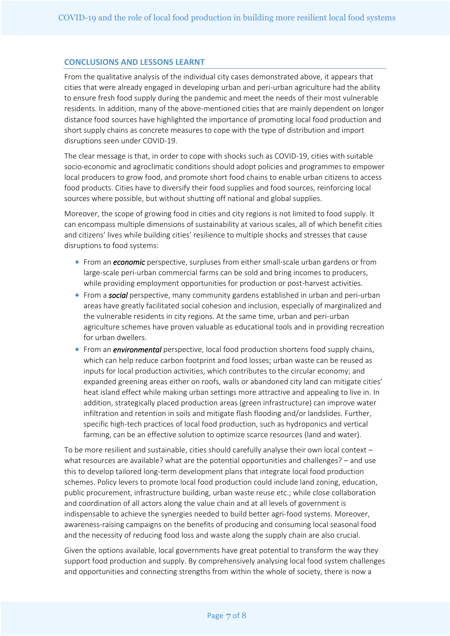#### **CONCLUSIONS AND LESSONS LEARNT**

From the qualitative analysis of the individual city cases demonstrated above, it appears that cities that were already engaged in developing urban and peri-urban agriculture had the ability to ensure fresh food supply during the pandemic and meet the needs of their most vulnerable residents. In addition, many of the above-mentioned cities that are mainly dependent on longer distance food sources have highlighted the importance of promoting local food production and short supply chains as concrete measures to cope with the type of distribution and import disruptions seen under COVID-19.

The clear message is that, in order to cope with shocks such as COVID-19, cities with suitable socio-economic and agroclimatic conditions should adopt policies and programmes to empower local producers to grow food, and promote short food chains to enable urban citizens to access food products. Cities have to diversify their food supplies and food sources, reinforcing local sources where possible, but without shutting off national and global supplies.

Moreover, the scope of growing food in cities and city regions is not limited to food supply. It can encompass multiple dimensions of sustainability at various scales, all of which benefit cities and citizens' lives while building cities' resilience to multiple shocks and stresses that cause disruptions to food systems:

- From an *economic* perspective, surpluses from either small-scale urban gardens or from large-scale peri-urban commercial farms can be sold and bring incomes to producers, while providing employment opportunities for production or post-harvest activities.
- From a *social* perspective, many community gardens established in urban and peri-urban areas have greatly facilitated social cohesion and inclusion, especially of marginalized and the vulnerable residents in city regions. At the same time, urban and peri-urban agriculture schemes have proven valuable as educational tools and in providing recreation for urban dwellers.
- From an *environmental* perspective, local food production shortens food supply chains, which can help reduce carbon footprint and food losses; urban waste can be reused as inputs for local production activities, which contributes to the circular economy; and expanded greening areas either on roofs, walls or abandoned city land can mitigate cities' heat island effect while making urban settings more attractive and appealing to live in. In addition, strategically placed production areas (green infrastructure) can improve water infiltration and retention in soils and mitigate flash flooding and/or landslides. Further, specific high-tech practices of local food production, such as hydroponics and vertical farming, can be an effective solution to optimize scarce resources (land and water).

To be more resilient and sustainable, cities should carefully analyse their own local context – what resources are available? what are the potential opportunities and challenges? – and use this to develop tailored long-term development plans that integrate local food production schemes. Policy levers to promote local food production could include land zoning, education, public procurement, infrastructure building, urban waste reuse etc.; while close collaboration and coordination of all actors along the value chain and at all levels of government is indispensable to achieve the synergies needed to build better agri-food systems. Moreover, awareness-raising campaigns on the benefits of producing and consuming local seasonal food and the necessity of reducing food loss and waste along the supply chain are also crucial.

Given the options available, local governments have great potential to transform the way they support food production and supply. By comprehensively analysing local food system challenges and opportunities and connecting strengths from within the whole of society, there is now a